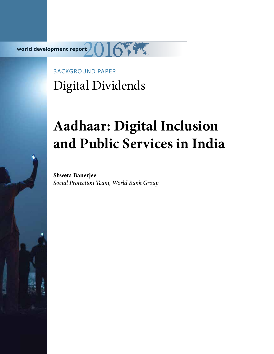**world development report**

# BACKGROUND PAPER Digital Dividends

# **Aadhaar: Digital Inclusion and Public Services in India**

**Shweta Banerjee** *Social Protection Team, World Bank Group*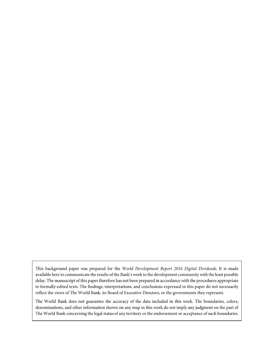This background paper was prepared for the World Development Report 2016 Digital Dividends. It is made available here to communicate the results of the Bank's work to the development community with the least possible delay. The manuscript of this paper therefore has not been prepared in accordance with the procedures appropriate to formally-edited texts. The findings, interpretations, and conclusions expressed in this paper do not necessarily reflect the views of The World Bank, its Board of Executive Directors, or the governments they represent.

The World Bank does not guarantee the accuracy of the data included in this work. The boundaries, colors, denominations, and other information shown on any map in this work do not imply any judgment on the part of The World Bank concerning the legal status of any territory or the endorsement or acceptance of such boundaries.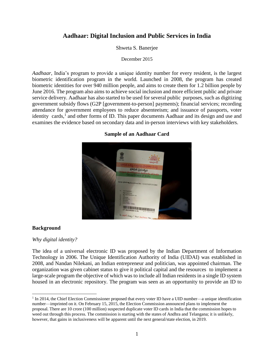# **Aadhaar: Digital Inclusion and Public Services in India**

#### Shweta S. Banerjee

#### December 2015

*Aadhaar*, India's program to provide a unique identity number for every resident, is the largest biometric identification program in the world. Launched in 2008, the program has created biometric identities for over 940 million people, and aims to create them for 1.2 billion people by June 2016. The program also aims to achieve social inclusion and more efficient public and private service delivery. Aadhaar has also started to be used for several public purposes, such as digitizing government subsidy flows (G2P [government-to-person] payments); financial services; recording attendance for government employees to reduce absenteeism; and issuance of passports, voter identity cards,<sup>1</sup> and other forms of ID. This paper documents Aadhaar and its design and use and examines the evidence based on secondary data and in-person interviews with key stakeholders.

#### **Sample of an Aadhaar Card**



#### **Background**

 $\overline{\phantom{a}}$ 

#### *Why digital identity?*

The idea of a universal electronic ID was proposed by the Indian Department of Information Technology in 2006. The Unique Identification Authority of India (UIDAI) was established in 2008, and Nandan Nilekani, an Indian entrepreneur and politician, was appointed chairman. The organization was given cabinet status to give it political capital and the resources to implement a large-scale program the objective of which was to include all Indian residents in a single ID system housed in an electronic repository. The program was seen as an opportunity to provide an ID to

<sup>&</sup>lt;sup>1</sup> In 2014, the Chief Election Commissioner proposed that every voter ID have a UID number—a unique identification number—imprinted on it. On February 15, 2015, the Election Commission announced plans to implement the proposal. There are 10 crore (100 million) suspected duplicate voter ID cards in India that the commission hopes to weed out through this process. The commission is starting with the states of Andhra and Telangana; it is unlikely, however, that gains in inclusiveness will be apparent until the next general/state election, in 2019.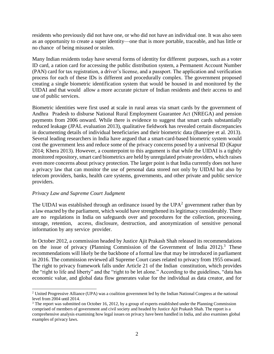residents who previously did not have one, or who did not have an individual one. It was also seen as an opportunity to create a super identity—one that is more portable, traceable, and has little or no chance of being misused or stolen.

Many Indian residents today have several forms of identity for different purposes, such as a voter ID card, a ration card for accessing the public distribution system, a Permanent Account Number (PAN) card for tax registration, a driver's license, and a passport. The application and verification process for each of these IDs is different and procedurally complex. The government proposed creating a single biometric identification system that would be housed in and monitored by the UIDAI and that would allow a more accurate picture of Indian residents and their access to and use of public services.

Biometric identities were first used at scale in rural areas via smart cards by the government of Andhra Pradesh to disburse National Rural Employment Guarantee Act (NREGA) and pension payments from 2006 onward. While there is evidence to suggest that smart cards substantially reduced leakage (JPAL evaluation 2013), qualitative fieldwork has revealed certain discrepancies in documenting details of individual beneficiaries and their biometric data (Banerjee et al. 2013). Several leading researchers in India have argued that a smart-card-based biometric system would cost the government less and reduce some of the privacy concerns posed by a universal ID (Kapur 2014; Khera 2013). However, a counterpoint to this argument is that while the UIDAI is a tightly monitored repository, smart card biometrics are held by unregulated private providers, which raises even more concerns about privacy protection. The larger point is that India currently does not have a privacy law that can monitor the use of personal data stored not only by UIDAI but also by telecom providers, banks, health care systems, governments, and other private and public service providers.

#### *Privacy Law and Supreme Court Judgment*

The UIDAI was established through an ordinance issued by the UPA<sup>2</sup> government rather than by a law enacted by the parliament, which would have strengthened its legitimacy considerably. There are no regulations in India on safeguards over and procedures for the collection, processing, storage, retention, access, disclosure, destruction, and anonymization of sensitive personal information by any service provider.

In October 2012, a commission headed by Justice Ajit Prakash Shah released its recommendations on the issue of privacy (Planning Commission of the Government of India 2012).<sup>3</sup> These recommendations will likely be the backbone of a formal law that may be introduced in parliament in 2016. The commission reviewed all Supreme Court cases related to privacy from 1955 onward. The right to privacy framework falls under Article 21 of the Indian constitution, which provides the "right to life and liberty" and the "right to be let alone." According to the guidelines, "data has economic value, and global data flow generates value for the individual as data creator, and for

 $\overline{a}$ <sup>2</sup> United Progressive Alliance (UPA) was a coalition government led by the Indian National Congress at the national level from 2004 until 2014.

<sup>&</sup>lt;sup>3</sup> The report was submitted on October 16, 2012, by a group of experts established under the Planning Commission comprised of members of government and civil society and headed by Justice Ajit Prakash Shah. The report is a comprehensive analysis examining how legal issues on privacy have been handled in India, and also examines global examples of privacy laws.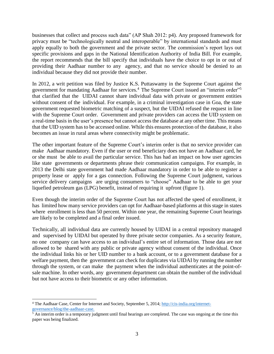businesses that collect and process such data" (AP Shah 2012: p4). Any proposed framework for privacy must be "technologically neutral and interoperable" by international standards and must apply equally to both the government and the private sector. The commission's report lays out specific provisions and gaps in the National Identification Authority of India Bill. For example, the report recommends that the bill specify that individuals have the choice to opt in or out of providing their Aadhaar number to any agency, and that no service should be denied to an individual because they did not provide their number.

In 2012, a writ petition was filed by Justice K.S. Puttaswamy in the Supreme Court against the government for mandating Aadhaar for services.<sup>4</sup> The Supreme Court issued an "interim order"<sup>5</sup> that clarified that the UIDAI cannot share individual data with private or government entities without consent of the individual. For example, in a criminal investigation case in Goa, the state government requested biometric matching of a suspect, but the UIDAI refused the request in line with the Supreme Court order. Government and private providers can access the UID system on a real-time basis in the user's presence but cannot access the database at any other time. This means that the UID system has to be accessed online. While this ensures protection of the database, it also becomes an issue in rural areas where connectivity might be problematic.

The other important feature of the Supreme Court's interim order is that no service provider can make Aadhaar mandatory. Even if the user or end beneficiary does not have an Aadhaar card, he or she must be able to avail the particular service. This has had an impact on how user agencies like state governments or departments phrase their communication campaigns. For example, in 2013 the Delhi state government had made Aadhaar mandatory in order to be able to register a property lease or apply for a gas connection. Following the Supreme Court judgment, various service delivery campaigns are urging consumers to "choose" Aadhaar to be able to get your liquefied petroleum gas (LPG) benefit, instead of requiring it upfront (figure 1).

Even though the interim order of the Supreme Court has not affected the speed of enrollment, it has limited how many service providers can opt for Aadhaar-based platforms at this stage in states where enrollment is less than 50 percent. Within one year, the remaining Supreme Court hearings are likely to be completed and a final order issued.

Technically, all individual data are currently housed by UIDAI in a central repository managed and supervised by UIDAI but operated by three private sector companies. As a security feature, no one company can have access to an individual's entire set of information. Those data are not allowed to be shared with any public or private agency without consent of the individual. Once the individual links his or her UID number to a bank account, or to a government database for a welfare payment, then the government can check for duplicates via UIDAI by running the number through the system, or can make the payment when the individual authenticates at the point-ofsale machine. In other words, any government department can obtain the number of the individual but not have access to their biometric or any other information.

 $\overline{\phantom{a}}$ 

<sup>&</sup>lt;sup>4</sup> The Aadhaar Case, Center for Internet and Society, September 5, 2014; [http://cis-india.org/internet](http://cis-india.org/internet-governance/blog/the-aadhaar-case)[governance/blog/the-aadhaar-case.](http://cis-india.org/internet-governance/blog/the-aadhaar-case)

 $5$  An interim order is a temporary judgment until final hearings are completed. The case was ongoing at the time this paper was being finalized.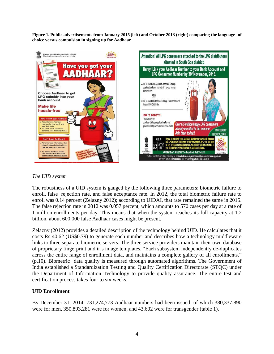**Figure 1. Public advertisements from January 2015 (left) and October 2013 (right) comparing the language of choice versus compulsion in signing up for Aadhaar**



#### *The UID system*

The robustness of a UID system is gauged by the following three parameters: biometric failure to enroll, false rejection rate, and false acceptance rate. In 2012, the total biometric failure rate to enroll was 0.14 percent (Zelazny 2012); according to UIDAI, that rate remained the same in 2015. The false rejection rate in 2012 was 0.057 percent, which amounts to 570 cases per day at a rate of 1 million enrollments per day. This means that when the system reaches its full capacity at 1.2 billion, about 600,000 false Aadhaar cases might be present.

Zelazny (2012) provides a detailed description of the technology behind UID. He calculates that it costs Rs 40.62 (US\$0.79) to generate each number and describes how a technology middleware links to three separate biometric servers. The three service providers maintain their own database of proprietary fingerprint and iris image templates. "Each subsystem independently de-duplicates across the entire range of enrollment data, and maintains a complete gallery of all enrollments." (p.10). Biometric data quality is measured through automated algorithms. The Government of India established a Standardization Testing and Quality Certification Directorate (STQC) under the Department of Information Technology to provide quality assurance. The entire test and certification process takes four to six weeks.

# **UID Enrollment**

By December 31, 2014, 731,274,773 Aadhaar numbers had been issued, of which 380,337,890 were for men, 350,893,281 were for women, and 43,602 were for transgender (table 1).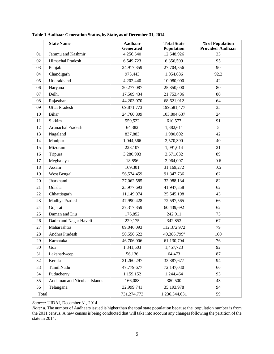|       | <b>State Name</b>           | <b>Aadhaar</b><br><b>Generated</b> | <b>Total State</b><br>Population | % of Population<br><b>Provided Aadhaar</b> |
|-------|-----------------------------|------------------------------------|----------------------------------|--------------------------------------------|
| 01    | Jammu and Kashmir           | 4,256,540                          | 12,548,926                       | 33                                         |
| 02    | Himachal Pradesh            | 6,549,723                          | 6,856,509                        | 95                                         |
| 03    | Punjab                      | 24,917,359                         | 27,704,356                       | 90                                         |
| 04    | Chandigarh                  | 973,443                            | 1,054,686                        | 92.2                                       |
| 05    | Uttarakhand                 | 4,202,440                          | 10,080,000                       | 42                                         |
| 06    | Haryana                     | 20,277,087                         | 25,350,000                       | 80                                         |
| 07    | Delhi                       | 17,509,434                         | 21,753,486                       | 80                                         |
| 08    | Rajasthan                   | 44,203,070                         | 68,621,012                       | 64                                         |
| 09    | <b>Uttar Pradesh</b>        | 69,871,773                         | 199,581,477                      | 35                                         |
| 10    | <b>Bihar</b>                | 24,760,809                         | 103,804,637                      | 24                                         |
| 11    | Sikkim                      | 559,522                            | 610,577                          | 91                                         |
| 12    | Arunachal Pradesh           | 64,382                             | 1,382,611                        | 5                                          |
| 13    | Nagaland                    | 837,883                            | 1,980,602                        | 42                                         |
| 14    | Manipur                     | 1,044,566                          | 2,570,390                        | 40                                         |
| 15    | Mizoram                     | 228,107                            | 1,091,014                        | 21                                         |
| 16    | Tripura                     | 3,280,903                          | 3,671,032                        | 89                                         |
| 17    | Meghalaya                   | 18,896                             | 2,964,007                        | 0.6                                        |
| 18    | Assam                       | 169,301                            | 31,169,272                       | 0.5                                        |
| 19    | West Bengal                 | 56,574,459                         | 91,347,736                       | 62                                         |
| 20    | Jharkhand                   | 27,062,585                         | 32,988,134                       | 82                                         |
| 21    | Odisha                      | 25,977,693                         | 41,947,358                       | 62                                         |
| 22    | Chhattisgarh                | 11,149,074                         | 25,545,198                       | 43                                         |
| 23    | Madhya Pradesh              | 47,990,428                         | 72,597,565                       | 66                                         |
| 24    | Gujarat                     | 37,317,859                         | 60,439,692                       | 62                                         |
| 25    | Daman and Diu               | 176,852                            | 242,911                          | 73                                         |
| 26    | Dadra and Nagar Haveli      | 229,175                            | 342,853                          | 67                                         |
| 27    | Maharashtra                 | 89,046,093                         | 112,372,972                      | 79                                         |
| 28    | Andhra Pradesh              | 50,556,622                         | 49,386,799 <sup>a</sup>          | 100                                        |
| 29    | Karnataka                   | 46,706,006                         | 61,130,704                       | 76                                         |
| 30    | Goa                         | 1,341,603                          | 1,457,723                        | 92                                         |
| 31    | Lakshadweep                 | 56,136                             | 64,473                           | 87                                         |
| 32    | Kerala                      | 31,260,297                         | 33,387,677                       | 94                                         |
| 33    | Tamil Nadu                  | 47,779,677                         | 72,147,030                       | 66                                         |
| 34    | Puducherry                  | 1,159,152                          | 1,244,464                        | 93                                         |
| 35    | Andaman and Nicobar Islands | 166,088                            | 380,500                          | 43                                         |
| 36    | Telangana                   | 32,999,741                         | 35,193,978                       | 94                                         |
| Total |                             | 731,274,773                        | 1,236,344,631                    | 59                                         |

**Table 1 Aadhaar Generation Status, by State, as of December 31, 2014**

*Source:* UIDAI, December 31, 2014.

*Note:* a. The number of Aadhaars issued is higher than the total state population because the population number is from the 2011 census. A new census is being conducted that will take into account any changes following the partition of the state in 2014.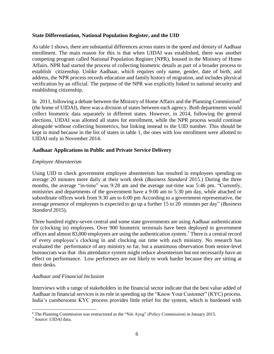### **State Differentiation, National Population Register, and the UID**

As table 1 shows, there are substantial differences across states in the speed and density of Aadhaar enrollment. The main reason for this is that when UIDAI was established, there was another competing program called National Population Register (NPR), housed in the Ministry of Home Affairs. NPR had started the process of collecting biometric details as part of a broader process to establish citizenship. Unlike Aadhaar, which requires only name, gender, date of birth, and address, the NPR process records education and family history of migration, and includes physical verification by an official. The purpose of the NPR was explicitly linked to national security and establishing citizenship.

In 2011, following a debate between the Ministry of Home Affairs and the Planning Commission<sup>6</sup> (the home of UIDAI), there was a division of states between each agency. Both departments would collect biometric data separately in different states. However, in 2014, following the general elections, UIDAI was allotted all states for enrollment, while the NPR process would continue alongside without collecting biometrics, but linking instead to the UID number. This should be kept in mind because in the list of states in table 1, the ones with low enrollment were allotted to UIDAI only in November 2014.

# **Aadhaar Applications in Public and Private Service Delivery**

# *Employee Absenteeism*

Using UID to check government employee absenteeism has resulted in employees spending on average 20 minutes more daily at their work desk (*Business Standard* 2015.) During the three months, the average "in-time" was 9:28 am and the average out-time was 5:46 pm. "Currently, ministries and departments of the government have a 9:00 am to 5:30 pm day, while attached or subordinate offices work from 9:30 am to 6:00 pm According to a government representative, the average presence of employees is expected to go up a further 15 to 20 minutes per day" (*Business Standard* 2015).

Three hundred eighty-seven central and some state governments are using Aadhaar authentication for (clocking in) employees. Over 900 biometric terminals have been deployed in government offices and almost 83,000 employees are using the authentication system.<sup>7</sup> There is a central record of every employee's clocking in and clocking out time with each ministry. No research has evaluated the performance of any ministry so far, but a unanimous observation from senior-level bureaucrats was that this attendance system might reduce absenteeism but not necessarily have an effect on performance. Low performers are not likely to work harder because they are sitting at their desks.

#### *Aadhaar and Financial Inclusion*

Interviews with a range of stakeholders in the financial sector indicate that the best value added of Aadhaar in financial services is its role in speeding up the "Know Your Customer" (KYC) process. India's cumbersome KYC process provides little relief for the system, which is burdened with

 $\overline{a}$ 

<sup>&</sup>lt;sup>6</sup> The Planning Commission was restructured as the "Niti Ayog" (Policy Commission) in January 2015.

<sup>7</sup> Source: UIDAI data.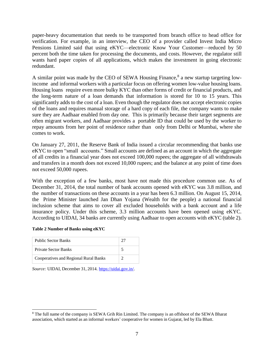paper-heavy documentation that needs to be transported from branch office to head office for verification. For example, in an interview, the CEO of a provider called Invest India Micro Pensions Limited said that using eKYC—electronic Know Your Customer—reduced by 50 percent both the time taken for processing the documents, and costs. However, the regulator still wants hard paper copies of all applications, which makes the investment in going electronic redundant.

A similar point was made by the CEO of SEWA Housing Finance,<sup>8</sup> a new startup targeting lowincome and informal workers with a particular focus on offering women low-value housing loans. Housing loans require even more bulky KYC than other forms of credit or financial products, and the long-term nature of a loan demands that information is stored for 10 to 15 years. This significantly adds to the cost of a loan. Even though the regulator does not accept electronic copies of the loans and requires manual storage of a hard copy of each file, the company wants to make sure they are Aadhaar enabled from day one. This is primarily because their target segments are often migrant workers, and Aadhaar provides a portable ID that could be used by the worker to repay amounts from her point of residence rather than only from Delhi or Mumbai, where she comes to work.

On January 27, 2011, the Reserve Bank of India issued a circular recommending that banks use eKYC to open "small accounts." Small accounts are defined as an account in which the aggregate of all credits in a financial year does not exceed 100,000 rupees; the aggregate of all withdrawals and transfers in a month does not exceed 10,000 rupees; and the balance at any point of time does not exceed 50,000 rupees.

With the exception of a few banks, most have not made this procedure common use. As of December 31, 2014, the total number of bank accounts opened with eKYC was 3.8 million, and the number of transactions on these accounts in a year has been 6.3 million. On August 15, 2014, the Prime Minister launched Jan Dhan Yojana (Wealth for the people) a national financial inclusion scheme that aims to cover all excluded households with a bank account and a life insurance policy. Under this scheme, 3.3 million accounts have been opened using eKYC. According to UIDAI, 34 banks are currently using Aadhaar to open accounts with eKYC (table 2).

|  |  | Table 2 Number of Banks using eKYC |  |  |  |  |
|--|--|------------------------------------|--|--|--|--|
|--|--|------------------------------------|--|--|--|--|

 $\overline{a}$ 

| <b>Public Sector Banks</b>            |  |
|---------------------------------------|--|
| <b>Private Sector Banks</b>           |  |
| Cooperatives and Regional Rural Banks |  |

*Source:* UIDAI, December 31, 2014. [https://uidai.gov.in/.](https://uidai.gov.in/)

<sup>8</sup> The full name of the company is SEWA Grih Rin Limited. The company is an offshoot of the SEWA Bharat association, which started as an informal workers' cooperative for women in Gujarat, led by Ela Bhatt.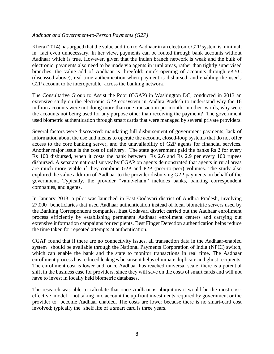#### *Aadhaar and Government-to-Person Payments (G2P)*

Khera (2014) has argued that the value addition to Aadhaar in an electronic G2P system is minimal, in fact even unnecessary. In her view, payments can be routed through bank accounts without Aadhaar which is true. However, given that the Indian branch network is weak and the bulk of electronic payments also need to be made via agents in rural areas, rather than tightly supervised branches, the value add of Aadhaar is threefold: quick opening of accounts through eKYC (discussed above), real-time authentication when payment is disbursed, and enabling the user's G2P account to be interoperable across the banking network.

The Consultative Group to Assist the Poor (CGAP) in Washington DC, conducted in 2013 an extensive study on the electronic G2P ecosystem in Andhra Pradesh to understand why the 16 million accounts were not doing more than one transaction per month. In other words, why were the accounts not being used for any purpose other than receiving the payment? The government used biometric authentication through smart cards that were managed by several private providers.

Several factors were discovered: mandating full disbursement of government payments, lack of information about the use and means to operate the account, closed-loop systems that do not offer access to the core banking server, and the unavailability of G2P agents for financial services. Another major issue is the cost of delivery. The state government paid the banks Rs 2 for every Rs 100 disbursed, when it costs the bank between Rs 2.6 and Rs 2.9 per every 100 rupees disbursed. A separate national survey by CGAP on agents demonstrated that agents in rural areas are much more viable if they combine G2P and P2P (peer-to-peer) volumes. The study also explored the value addition of Aadhaar to the provider disbursing G2P payments on behalf of the government. Typically, the provider "value-chain" includes banks, banking correspondent companies, and agents.

In January 2013, a pilot was launched in East Godavari district of Andhra Pradesh, involving 27,000 beneficiaries that used Aadhaar authentication instead of local biometric servers used by the Banking Correspondent companies. East Godavari district carried out the Aadhaar enrollment process efficiently by establishing permanent Aadhaar enrollment centers and carrying out extensive information campaigns for recipients. Best Finger Detection authentication helps reduce the time taken for repeated attempts at authentication.

CGAP found that if there are no connectivity issues, all transaction data in the Aadhaar-enabled system should be available through the National Payments Corporation of India (NPCI) switch, which can enable the bank and the state to monitor transactions in real time. The Aadhaar enrollment process has reduced leakages because it helps eliminate duplicate and ghost recipients. The enrollment cost is lower and, once Aadhaar has reached universal scale, there is a potential shift in the business case for providers, since they will save on the costs of smart cards and will not have to invest in locally held biometric databases.

The research was able to calculate that once Aadhaar is ubiquitous it would be the most costeffective model—not taking into account the up-front investments required by government or the provider to become Aadhaar enabled. The costs are lower because there is no smart-card cost involved; typically the shelf life of a smart card is three years.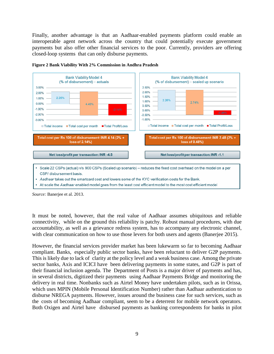Finally, another advantage is that an Aadhaar-enabled payments platform could enable an interoperable agent network across the country that could potentially execute government payments but also offer other financial services to the poor. Currently, providers are offering closed-loop systems that can only disburse payments.





*Source:* Banerjee et al. 2013.

It must be noted, however, that the real value of Aadhaar assumes ubiquitous and reliable connectivity, while on the ground this reliability is patchy. Robust manual procedures, with due accountability, as well as a grievance redress system, has to accompany any electronic channel, with clear communication on how to use those levers for both users and agents (Banerjee 2015).

However, the financial services provider market has been lukewarm so far to becoming Aadhaar compliant. Banks, especially public sector banks, have been reluctant to deliver G2P payments. This is likely due to lack of clarity at the policy level and a weak business case. Among the private sector banks, Axis and ICICI have been delivering payments in some states, and G2P is part of their financial inclusion agenda. The Department of Posts is a major driver of payments and has, in several districts, digitized their payments using Aadhaar Payments Bridge and monitoring the delivery in real time. Nonbanks such as Airtel Money have undertaken pilots, such as in Orissa, which uses MPIN (Mobile Personal Identification Number) rather than Aadhaar authentication to disburse NREGA payments. However, issues around the business case for such services, such as the costs of becoming Aadhaar compliant, seem to be a deterrent for mobile network operators. Both Oxigen and Airtel have disbursed payments as banking correspondents for banks in pilot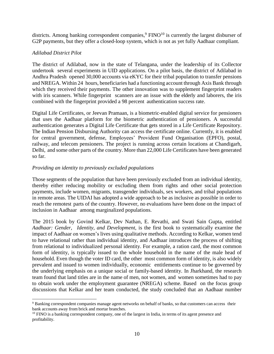districts. Among banking correspondent companies,  $\frac{9 \text{ FINO}^{10}}{10 \text{ s}}$  is currently the largest disburser of G2P payments, but they offer a closed-loop system, which is not as yet fully Aadhaar compliant.

# *Adilabad District Pilot*

 $\overline{\phantom{a}}$ 

The district of Adilabad, now in the state of Telangana, under the leadership of its Collector undertook several experiments in UID applications. On a pilot basis, the district of Adilabad in Andhra Pradesh opened 30,000 accounts via eKYC for their tribal population to transfer pensions and NREGA. Within 24 hours, beneficiaries had a functioning account through Axis Bank through which they received their payments. The other innovation was to supplement fingerprint readers with iris scanners. While fingerprint scanners are an issue with the elderly and laborers, the iris combined with the fingerprint provided a 98 percent authentication success rate.

Digital Life Certificates, or Jeevan Pramaan, is a biometric-enabled digital service for pensioners that uses the Aadhaar platform for the biometric authentication of pensioners. A successful authentication generates a Digital Life Certificate that gets stored in a Life Certificate Repository. The Indian Pension Disbursing Authority can access the certificate online. Currently, it is enabled for central government, defense, Employees' Provident Fund Organisation (EPFO), postal, railway, and telecom pensioners. The project is running across certain locations at Chandigarh, Delhi, and some other parts of the country. More than 22,000 Life Certificates have been generated so far.

# *Providing an identity to previously excluded populations*

Those segments of the population that have been previously excluded from an individual identity, thereby either reducing mobility or excluding them from rights and other social protection payments, include women, migrants, transgender individuals, sex workers, and tribal populations in remote areas. The UIDAI has adopted a wide approach to be as inclusive as possible in order to reach the remotest parts of the country. However, no evaluations have been done on the impact of inclusion in Aadhaar among marginalized populations.

The 2015 book by Govind Kelkar, Dev Nathan, E. Revathi, and Swati Sain Gupta, entitled *Aadhaar: Gender, Identity, and Development*, is the first book to systematically examine the impact of Aadhaar on women's lives using qualitative methods. According to Kelkar, women tend to have relational rather than individual identity, and Aadhaar introduces the process of shifting from relational to individualized personal identity. For example, a ration card, the most common form of identity, is typically issued to the whole household in the name of the male head of household. Even though the voter ID card, the other most common form of identity, is also widely prevalent and issued to women individually, economic entitlements continue to be governed by the underlying emphasis on a unique social or family-based identity. In Jharkhand, the research team found that land titles are in the name of men, not women, and women sometimes had to pay to obtain work under the employment guarantee (NREGA) scheme. Based on the focus group discussions that Kelkar and her team conducted, the study concluded that an Aadhaar number

<sup>&</sup>lt;sup>9</sup> Banking correspondent companies manage agent networks on behalf of banks, so that customers can access their bank accounts away from brick and mortar branches.

<sup>&</sup>lt;sup>10</sup> FINO is a banking correspondent company, one of the largest in India, in terms of its agent presence and profitability.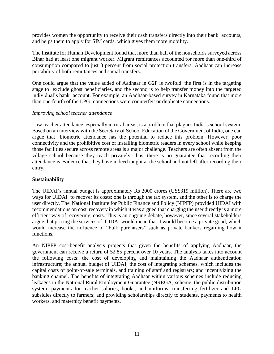provides women the opportunity to receive their cash transfers directly into their bank accounts, and helps them to apply for SIM cards, which gives them more mobility.

The Institute for Human Development found that more than half of the households surveyed across Bihar had at least one migrant worker. Migrant remittances accounted for more than one-third of consumption compared to just 3 percent from social protection transfers. Aadhaar can increase portability of both remittances and social transfers.

One could argue that the value added of Aadhaar in G2P is twofold: the first is in the targeting stage to exclude ghost beneficiaries, and the second is to help transfer money into the targeted individual's bank account. For example, an Aadhaar-based survey in Karnataka found that more than one-fourth of the LPG connections were counterfeit or duplicate connections.

# *Improving school teacher attendance*

Low teacher attendance, especially in rural areas, is a problem that plagues India's school system. Based on an interview with the Secretary of School Education of the Government of India, one can argue that biometric attendance has the potential to reduce this problem. However, poor connectivity and the prohibitive cost of installing biometric readers in every school while keeping those facilities secure across remote areas is a major challenge. Teachers are often absent from the village school because they teach privately; thus, there is no guarantee that recording their attendance is evidence that they have indeed taught at the school and not left after recording their entry.

### **Sustainability**

The UIDAI's annual budget is approximately Rs 2000 crores (US\$319 million). There are two ways for UIDAI to recover its costs: one is through the tax system, and the other is to charge the user directly. The National Institute for Public Finance and Policy (NIPFP) provided UIDAI with recommendations on cost recovery in which it was argued that charging the user directly is a more efficient way of recovering costs. This is an ongoing debate, however, since several stakeholders argue that pricing the services of UIDAI would mean that it would become a private good, which would increase the influence of "bulk purchasers" such as private bankers regarding how it functions.

An NIPFP cost-benefit analysis projects that given the benefits of applying Aadhaar, the government can receive a return of 52.85 percent over 10 years. The analysis takes into account the following costs: the cost of developing and maintaining the Aadhaar authentication infrastructure; the annual budget of UIDAI; the cost of integrating schemes, which includes the capital costs of point-of-sale terminals, and training of staff and registrars; and incentivizing the banking channel. The benefits of integrating Aadhaar within various schemes include reducing leakages in the National Rural Employment Guarantee (NREGA) scheme, the public distribution system; payments for teacher salaries, books, and uniforms; transferring fertilizer and LPG subsidies directly to farmers; and providing scholarships directly to students, payments to health workers, and maternity benefit payments.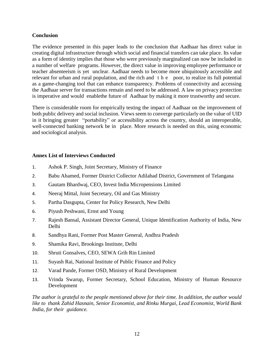# **Conclusion**

The evidence presented in this paper leads to the conclusion that Aadhaar has direct value in creating digital infrastructure through which social and financial transfers can take place. Its value as a form of identity implies that those who were previously marginalized can now be included in a number of welfare programs. However, the direct value in improving employee performance or teacher absenteeism is yet unclear. Aadhaar needs to become more ubiquitously accessible and relevant for urban and rural population, and the rich and t h e poor, to realize its full potential as a game-changing tool that can enhance transparency. Problems of connectivity and accessing the Aadhaar server for transactions remain and need to be addressed. A law on privacy protection is imperative and would enablethe future of Aadhaar by making it more trustworthy and secure.

There is considerable room for empirically testing the impact of Aadhaar on the improvement of both public delivery and social inclusion. Views seem to converge particularly on the value of UID in it bringing greater "portability" or accessibility across the country, should an interoperable, well-connected banking network be in place. More research is needed on this, using economic and sociological analysis.

# **Annex List of Interviews Conducted**

- 1. Ashok P. Singh, Joint Secretary, Ministry of Finance
- 2. Babu Ahamed, Former District Collector Adilabad District, Government of Telangana
- 3. Gautam Bhardwaj, CEO, Invest India Micropensions Limited
- 4. Neeraj Mittal, Joint Secretary, Oil and Gas Ministry
- 5. Partha Dasgupta, Center for Policy Research, New Delhi
- 6. Piyush Peshwani, Ernst and Young
- 7. Rajesh Bansal, Assistant Director General, Unique Identification Authority of India, New Delhi
- 8. Sandhya Rani, Former Post Master General, Andhra Pradesh
- 9. Shamika Ravi, Brookings Institute, Delhi
- 10. Shruti Gonsalves, CEO, SEWA Grih Rin Limited
- 11. Suyash Rai, National Institute of Public Finance and Policy
- 12. Varad Pande, Former OSD, Ministry of Rural Development
- 13. Vrinda Swarup, Former Secretary, School Education, Ministry of Human Resource Development

*The author is grateful to the people mentioned above for their time. In addition, the author would like to thank Zahid Hasnain, Senior Economist, and Rinku Murgai, Lead Economist, World Bank India, for their guidance.*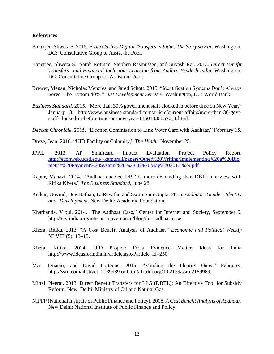#### **References**

- Banerjee, Shweta S. 2015. *From Cash to Digital Transfers in India: The Story so Far*. Washington, DC: Consultative Group to Assist the Poor.
- Banerjee, Shweta S., Sarah Rotman, Stephen Rasmussen, and Suyash Rai. 2013. *Direct Benefit Transfers and Financial Inclusion: Learning from Andhra Pradesh India*. Washington, DC: Consultative Group to Assist the Poor.
- Brewer, Megan, Nicholas Menzies, and Jared Schott. 2015. "Identification Systems Don't Always Serve The Bottom 40%." *Just Development Series* 8. Washington, DC: World Bank.
- *Business Standard*. 2015. "More than 30% government staff clocked in before time on New Year," January 3. [http://www.business-standard.com/article/current-affairs/more-than-30-govt](http://www.business-standard.com/article/current-affairs/more-than-30-govt-staff-clocked-in-before-time-on-new-year-115010300570_1.html)[staff-clocked-in-before-time-on-new-year-115010300570\\_1.html.](http://www.business-standard.com/article/current-affairs/more-than-30-govt-staff-clocked-in-before-time-on-new-year-115010300570_1.html)

*Deccan Chronicle*. 2015. "Election Commission to Link Voter Card with Aadhaar," February 15.

Dreze, Jean. 2010. "UID Facility or Calamity," *The Hindu*, November 25.

- JPAL. 2013. AP Smartcard Impact Evaluation Project Policy Report. [http://econweb.ucsd.edu/~kamurali/papers/Other%20Writing/Implementing%20a%20Bio](http://econweb.ucsd.edu/~kamurali/papers/Other%20Writing/Implementing%20a%20Biometric%20Payment%20System%20%2818%20May%202013%29.pdf) [metric%20Payment%20System%20%2818%20May%202013%29.pdf](http://econweb.ucsd.edu/~kamurali/papers/Other%20Writing/Implementing%20a%20Biometric%20Payment%20System%20%2818%20May%202013%29.pdf)
- Kapur, Manavi. 2014. "Aadhaar-enabled DBT is more demanding than DBT: Interview with Ritika Khera." *The Business Standard*, June 28.
- Kelkar, Govind, Dev Nathan, E. Revathi, and Swati Sain Gupta. 2015. *Aadhaar: Gender, Identity and Development*. New Delhi: Academic Foundation.
- Kharbanda, Vipul. 2014. "The Aadhaar Case," Center for Internet and Society, September 5. [http://cis-india.org/internet-governance/blog/the-aadhaar-case.](http://cis-india.org/internet-governance/blog/the-aadhaar-case)
- Khera, Ritika. 2013. "A Cost Benefit Analysis of Aadhaar." *Economic and Political Weekly* XLVIII (5): 13–15.
- Khera, Ritika. 2014. UID Project: Does Evidence Matter. Ideas for India http://www.ideasforindia.in/article.aspx?article\_id=250
- Mas, Ignacio, and David Porteous. 2015. "Minding the Identity Gaps," February[.](http://ssrn.com/abstract%3D2189989) [http://ssrn.com/abstract=2189989](http://ssrn.com/abstract%3D2189989) or [http://dx.doi.org/10.2139/ssrn.2189989.](http://dx.doi.org/10.2139/ssrn.2189989)
- Mittal, Neeraj. 2013. Direct Benefit Transfers for LPG (DBTL): An Effective Tool for Subsidy Reform. New Delhi: Ministry of Oil and Natural Gas.
- NIPFP (National Institute of Public Finance and Policy). 2008. *A Cost Benefit Analysis of Aadhaar*. New Delhi: National Institute of Public Finance and Policy.